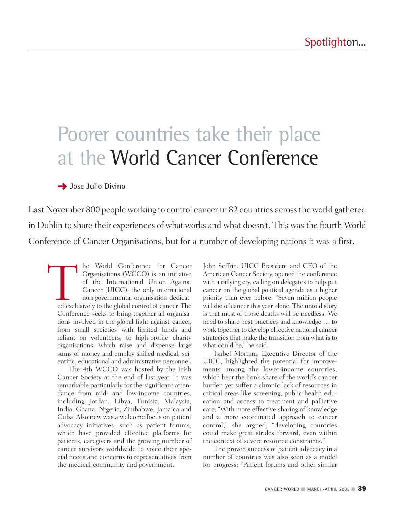## Poorer countries take their place at the World Cancer Conference

## **→** Jose Julio Divino

Last November 800 people working to control cancer in 82 countries across the world gathered in Dublin to share their experiences of what works and what doesn't. This was the fourth World Conference of Cancer Organisations, but for a number of developing nations it was a first.

The World Conference for Cancer<br>
Organisations (WCCO) is an initiative<br>
of the International Union Against<br>
Cancer (UICC), the only international<br>
non-governmental organisation dedicat-<br>
ed exclusively to the global contro Organisations (WCCO) is an initiative of the International Union Against Cancer (UICC), the only international non-governmental organisation dedicated exclusively to the global control of cancer. The Conference seeks to bring together all organisations involved in the global fight against cancer, from small societies with limited funds and reliant on volunteers, to high-profile charity organisations, which raise and dispense large sums of money and employ skilled medical, scientific, educational and administrative personnel.

The 4th WCCO was hosted by the Irish Cancer Society at the end of last year. It was remarkable particularly for the significant attendance from mid- and low-income countries, including Jordan, Libya, Tunisia, Malaysia, India, Ghana, Nigeria, Zimbabwe, Jamaica and Cuba. Also new was a welcome focus on patient advocacy initiatives, such as patient forums, which have provided effective platforms for patients, caregivers and the growing number of cancer survivors worldwide to voice their special needs and concerns to representatives from the medical community and government.

John Seffrin, UICC President and CEO of the American Cancer Society, opened the conference with a rallying cry, calling on delegates to help put cancer on the global political agenda as a higher priority than ever before. "Seven million people will die of cancer this year alone. The untold story is that most of those deaths will be needless. We need to share best practices and knowledge … to work together to develop effective national cancer strategies that make the transition from what is to what could be," he said.

Isabel Mortara, Executive Director of the UICC, highlighted the potential for improvements among the lower-income countries, which bear the lion's share of the world's cancer burden yet suffer a chronic lack of resources in critical areas like screening, public health education and access to treatment and palliative care. "With more effective sharing of knowledge and a more coordinated approach to cancer control," she argued, "developing countries could make great strides forward, even within the context of severe resource constraints."

The proven success of patient advocacy in a number of countries was also seen as a model for progress: "Patient forums and other similar